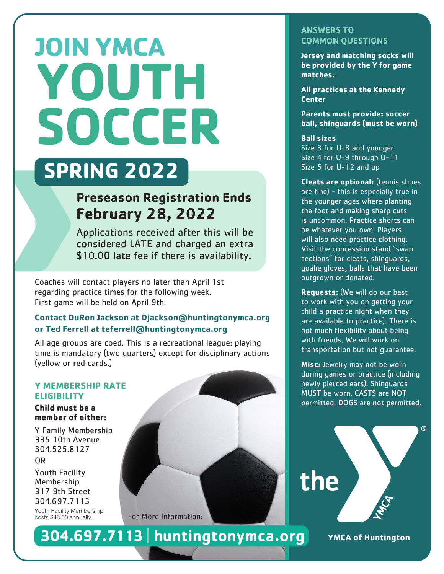# **JOIN YMCA YOUTH SOCCER**

## **SPRING 2022**

### **Preseason Registration Ends February 28, 2022**

Applications received after this will be considered LATE and charged an extra \$10.00 late fee if there is availability.

Coaches will contact players no later than April 1st regarding practice times for the following week. First game will be held on April 9th.

#### **Contact DuRon Jackson at Djackson@huntingtonymca.org or Ted Ferrell at teferrell@huntingtonymca.org**

All age groups are coed. This is a recreational league: playing time is mandatory (two quarters) except for disciplinary actions (yellow or red cards.)

#### **Y MEMBERSHIP RATE ELIGIBILITY**

**Child must be a member of either:**

Y Family Membership 935 10th Avenue 304.525.8127

OR Youth Facility Membership 917 9th Street 304.697.7113 Youth Facility Membership<br>costs \$48.00 annually.

For More Information:

**304.697.7113 | huntingtonymca.org** YMCA of Huntington

#### **ANSWERS TO COMMON QUESTIONS**

**Jersey and matching socks will be provided by the Y for game matches.**

**All practices at the Kennedy Center**

**Parents must provide: soccer ball, shinguards (must be worn)**

#### **Ball sizes**

Size 3 for U-8 and younger Size 4 for U-9 through U-11 Size 5 for U-12 and up

**Cleats are optional:** (tennis shoes are fine) - this is especially true in the younger ages where planting the foot and making sharp cuts is uncommon. Practice shorts can be whatever you own. Players will also need practice clothing. Visit the concession stand "swap sections<sup>"</sup> for cleats, shinquards, goalie gloves, balls that have been outgrown or donated.

**Requests:** (We will do our best to work with you on getting your child a practice night when they are available to practice). There is not much flexibility about being with friends. We will work on transportation but not guarantee.

**Misc:** Jewelry may not be worn during games or practice (including newly pierced ears). Shinguards MUST be worn. CASTS are NOT permitted. DOGS are not permitted.